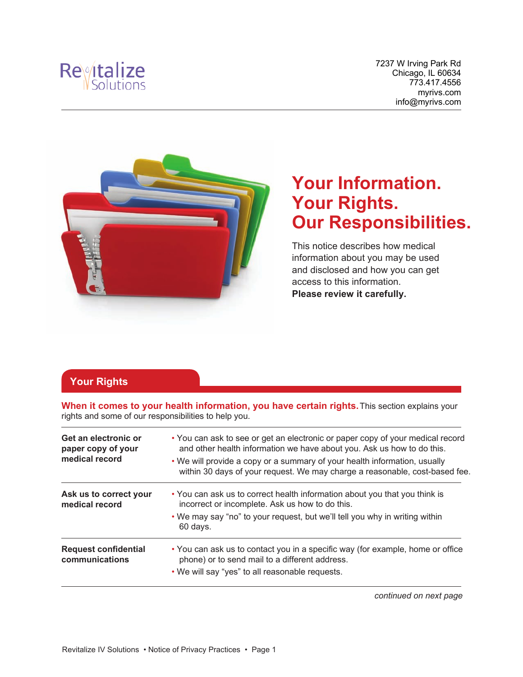

7237 W Irving Park Rd Chicago, IL 60634 773.417.4556 myrivs.com info@myrivs.com



# **Your Information. Your Rights. Our Responsibilities.**

This notice describes how medical information about you may be used and disclosed and how you can get access to this information. **Please review it carefully.**

## **Your Rights**

**When it comes to your health information, you have certain rights.**This section explains your rights and some of our responsibilities to help you.

| Get an electronic or<br>paper copy of your<br>medical record | • You can ask to see or get an electronic or paper copy of your medical record<br>and other health information we have about you. Ask us how to do this.<br>• We will provide a copy or a summary of your health information, usually<br>within 30 days of your request. We may charge a reasonable, cost-based fee. |  |
|--------------------------------------------------------------|----------------------------------------------------------------------------------------------------------------------------------------------------------------------------------------------------------------------------------------------------------------------------------------------------------------------|--|
| Ask us to correct your<br>medical record                     | • You can ask us to correct health information about you that you think is<br>incorrect or incomplete. Ask us how to do this.                                                                                                                                                                                        |  |
|                                                              | • We may say "no" to your request, but we'll tell you why in writing within<br>60 days.                                                                                                                                                                                                                              |  |
| <b>Request confidential</b><br>communications                | • You can ask us to contact you in a specific way (for example, home or office<br>phone) or to send mail to a different address.                                                                                                                                                                                     |  |
|                                                              | • We will say "yes" to all reasonable requests.                                                                                                                                                                                                                                                                      |  |

*continued on next page*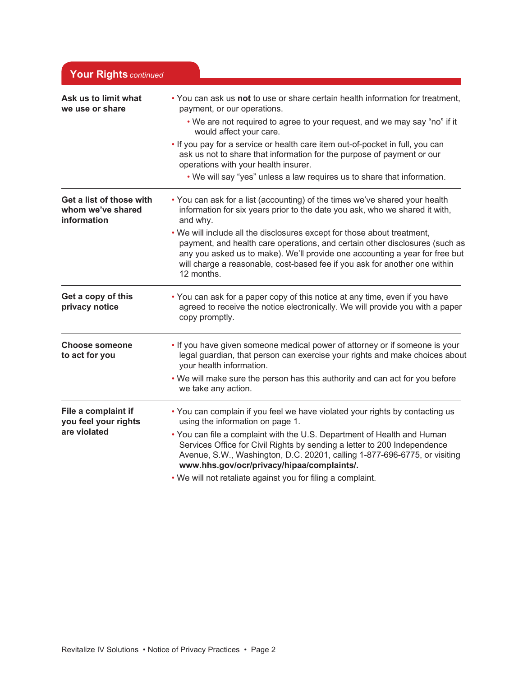| <b>Your Rights continued</b>                                 |                                                                                                                                                                                                                                                                                                                                   |
|--------------------------------------------------------------|-----------------------------------------------------------------------------------------------------------------------------------------------------------------------------------------------------------------------------------------------------------------------------------------------------------------------------------|
| Ask us to limit what<br>we use or share                      | • You can ask us not to use or share certain health information for treatment,<br>payment, or our operations.                                                                                                                                                                                                                     |
|                                                              | . We are not required to agree to your request, and we may say "no" if it<br>would affect your care.                                                                                                                                                                                                                              |
|                                                              | . If you pay for a service or health care item out-of-pocket in full, you can<br>ask us not to share that information for the purpose of payment or our<br>operations with your health insurer.                                                                                                                                   |
|                                                              | . We will say "yes" unless a law requires us to share that information.                                                                                                                                                                                                                                                           |
| Get a list of those with<br>whom we've shared<br>information | • You can ask for a list (accounting) of the times we've shared your health<br>information for six years prior to the date you ask, who we shared it with,<br>and why.                                                                                                                                                            |
|                                                              | . We will include all the disclosures except for those about treatment,<br>payment, and health care operations, and certain other disclosures (such as<br>any you asked us to make). We'll provide one accounting a year for free but<br>will charge a reasonable, cost-based fee if you ask for another one within<br>12 months. |
| Get a copy of this<br>privacy notice                         | • You can ask for a paper copy of this notice at any time, even if you have<br>agreed to receive the notice electronically. We will provide you with a paper<br>copy promptly.                                                                                                                                                    |
| <b>Choose someone</b><br>to act for you                      | . If you have given someone medical power of attorney or if someone is your<br>legal guardian, that person can exercise your rights and make choices about<br>your health information.                                                                                                                                            |
|                                                              | . We will make sure the person has this authority and can act for you before<br>we take any action.                                                                                                                                                                                                                               |
| File a complaint if<br>you feel your rights                  | . You can complain if you feel we have violated your rights by contacting us<br>using the information on page 1.                                                                                                                                                                                                                  |
| are violated                                                 | • You can file a complaint with the U.S. Department of Health and Human<br>Services Office for Civil Rights by sending a letter to 200 Independence<br>Avenue, S.W., Washington, D.C. 20201, calling 1-877-696-6775, or visiting<br>www.hhs.gov/ocr/privacy/hipaa/complaints/.                                                    |
|                                                              | . We will not retaliate against you for filing a complaint.                                                                                                                                                                                                                                                                       |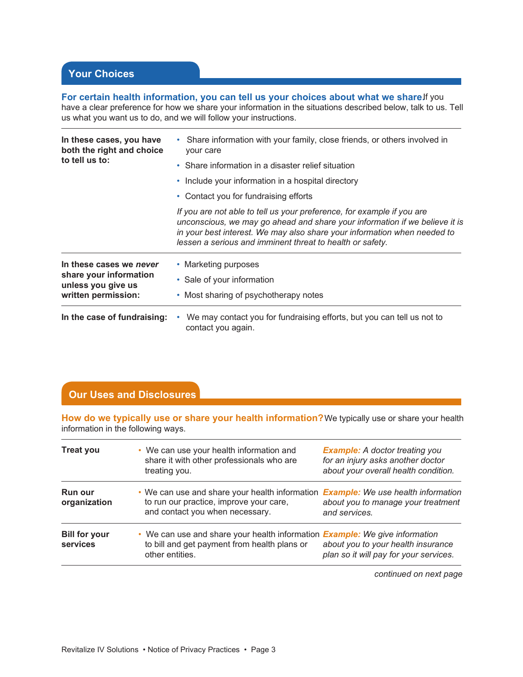For certain health information, you can tell us your choices about what we share.If you have a clear preference for how we share your information in the situations described below, talk to us. Tell us what you want us to do, and we will follow your instructions.

| In these cases, you have<br>both the right and choice | • Share information with your family, close friends, or others involved in<br>your care                                                                                                                                                                                                        |  |
|-------------------------------------------------------|------------------------------------------------------------------------------------------------------------------------------------------------------------------------------------------------------------------------------------------------------------------------------------------------|--|
| to tell us to:                                        | • Share information in a disaster relief situation                                                                                                                                                                                                                                             |  |
|                                                       | • Include your information in a hospital directory                                                                                                                                                                                                                                             |  |
|                                                       | • Contact you for fundraising efforts                                                                                                                                                                                                                                                          |  |
|                                                       | If you are not able to tell us your preference, for example if you are<br>unconscious, we may go ahead and share your information if we believe it is<br>in your best interest. We may also share your information when needed to<br>lessen a serious and imminent threat to health or safety. |  |
| In these cases we never                               | • Marketing purposes                                                                                                                                                                                                                                                                           |  |
| share your information<br>unless you give us          | • Sale of your information                                                                                                                                                                                                                                                                     |  |
| written permission:                                   | • Most sharing of psychotherapy notes                                                                                                                                                                                                                                                          |  |
| In the case of fundraising:                           | We may contact you for fundraising efforts, but you can tell us not to<br>contact you again.                                                                                                                                                                                                   |  |

## **Our Uses and Disclosures**

**How do we typically use or share your health information?** We typically use or share your health information in the following ways.

| <b>Treat you</b>                 | • We can use your health information and<br>share it with other professionals who are<br>treating you.                                                                 | <b>Example:</b> A doctor treating you<br>for an injury asks another doctor<br>about your overall health condition. |
|----------------------------------|------------------------------------------------------------------------------------------------------------------------------------------------------------------------|--------------------------------------------------------------------------------------------------------------------|
| <b>Run our</b><br>organization   | • We can use and share your health information <b>Example:</b> We use health information<br>to run our practice, improve your care,<br>and contact you when necessary. | about you to manage your treatment<br>and services.                                                                |
| <b>Bill for your</b><br>services | • We can use and share your health information <b>Example:</b> We give information<br>to bill and get payment from health plans or<br>other entities.                  | about you to your health insurance<br>plan so it will pay for your services.                                       |

*continued on next page*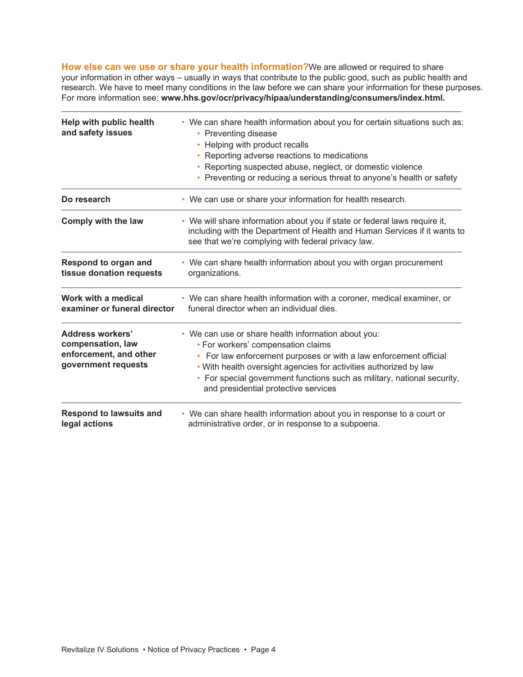**How else can we use or share your health information?** We are allowed or required to share your information in other ways – usually in ways that contribute to the public good, such as public health and research. We have to meet many conditions in the law before we can share your information for these purposes. For more information see: **www.hhs.gov/ocr/privacy/hipaa/understanding/consumers/index.html.**

| Help with public health<br>and safety issues                                                  | • We can share health information about you for certain situations such as:<br>• Preventing disease<br>• Helping with product recalls<br>• Reporting adverse reactions to medications<br>• Reporting suspected abuse, neglect, or domestic violence<br>• Preventing or reducing a serious threat to anyone's health or safety                          |  |
|-----------------------------------------------------------------------------------------------|--------------------------------------------------------------------------------------------------------------------------------------------------------------------------------------------------------------------------------------------------------------------------------------------------------------------------------------------------------|--|
| Do research                                                                                   | • We can use or share your information for health research.                                                                                                                                                                                                                                                                                            |  |
| Comply with the law                                                                           | • We will share information about you if state or federal laws require it,<br>including with the Department of Health and Human Services if it wants to<br>see that we're complying with federal privacy law.                                                                                                                                          |  |
| Respond to organ and<br>tissue donation requests                                              | • We can share health information about you with organ procurement<br>organizations.                                                                                                                                                                                                                                                                   |  |
| Work with a medical<br>examiner or funeral director                                           | • We can share health information with a coroner, medical examiner, or<br>funeral director when an individual dies.                                                                                                                                                                                                                                    |  |
| <b>Address workers'</b><br>compensation, law<br>enforcement, and other<br>government requests | • We can use or share health information about you:<br>• For workers' compensation claims<br>• For law enforcement purposes or with a law enforcement official<br>. With health oversight agencies for activities authorized by law<br>• For special government functions such as military, national security,<br>and presidential protective services |  |
| <b>Respond to lawsuits and</b><br>legal actions                                               | • We can share health information about you in response to a court or<br>administrative order, or in response to a subpoena.                                                                                                                                                                                                                           |  |